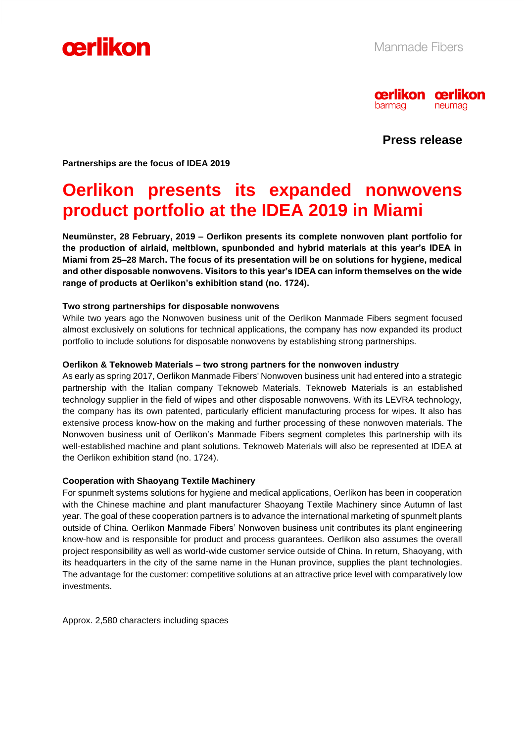



**Press release**

**Partnerships are the focus of IDEA 2019**

## **Oerlikon presents its expanded nonwovens product portfolio at the IDEA 2019 in Miami**

**Neumünster, 28 February, 2019 – Oerlikon presents its complete nonwoven plant portfolio for the production of airlaid, meltblown, spunbonded and hybrid materials at this year's IDEA in Miami from 25–28 March. The focus of its presentation will be on solutions for hygiene, medical and other disposable nonwovens. Visitors to this year's IDEA can inform themselves on the wide range of products at Oerlikon's exhibition stand (no. 1724).** 

#### **Two strong partnerships for disposable nonwovens**

While two years ago the Nonwoven business unit of the Oerlikon Manmade Fibers segment focused almost exclusively on solutions for technical applications, the company has now expanded its product portfolio to include solutions for disposable nonwovens by establishing strong partnerships.

#### **Oerlikon & Teknoweb Materials – two strong partners for the nonwoven industry**

As early as spring 2017, Oerlikon Manmade Fibers' Nonwoven business unit had entered into a strategic partnership with the Italian company Teknoweb Materials. Teknoweb Materials is an established technology supplier in the field of wipes and other disposable nonwovens. With its LEVRA technology, the company has its own patented, particularly efficient manufacturing process for wipes. It also has extensive process know-how on the making and further processing of these nonwoven materials. The Nonwoven business unit of Oerlikon's Manmade Fibers segment completes this partnership with its well-established machine and plant solutions. Teknoweb Materials will also be represented at IDEA at the Oerlikon exhibition stand (no. 1724).

#### **Cooperation with Shaoyang Textile Machinery**

For spunmelt systems solutions for hygiene and medical applications, Oerlikon has been in cooperation with the Chinese machine and plant manufacturer Shaoyang Textile Machinery since Autumn of last year. The goal of these cooperation partners is to advance the international marketing of spunmelt plants outside of China. Oerlikon Manmade Fibers' Nonwoven business unit contributes its plant engineering know-how and is responsible for product and process guarantees. Oerlikon also assumes the overall project responsibility as well as world-wide customer service outside of China. In return, Shaoyang, with its headquarters in the city of the same name in the Hunan province, supplies the plant technologies. The advantage for the customer: competitive solutions at an attractive price level with comparatively low investments.

Approx. 2,580 characters including spaces